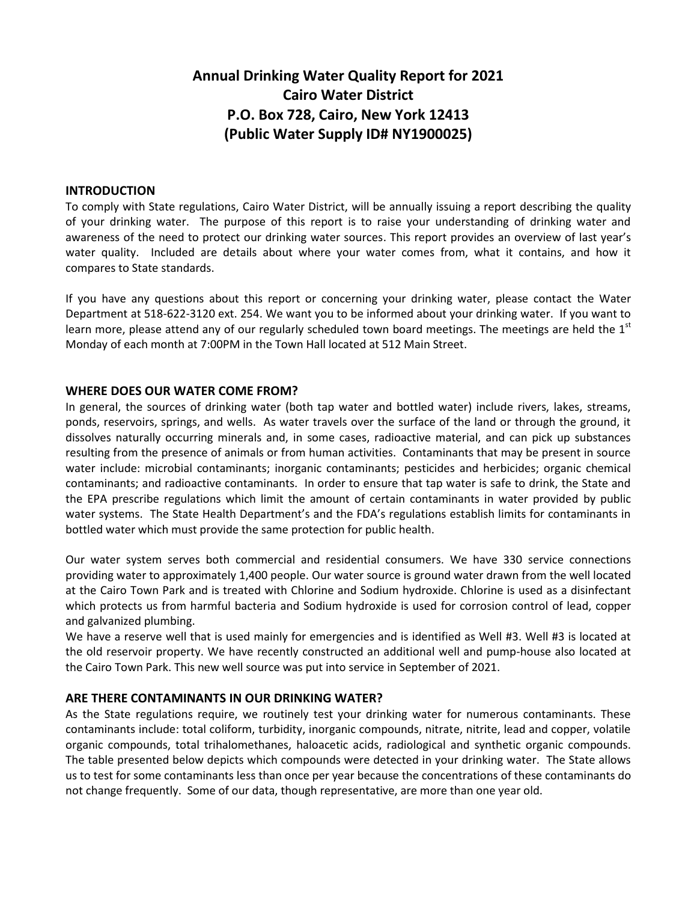# **Annual Drinking Water Quality Report for 2021 Cairo Water District P.O. Box 728, Cairo, New York 12413 (Public Water Supply ID# NY1900025)**

#### **INTRODUCTION**

To comply with State regulations, Cairo Water District, will be annually issuing a report describing the quality of your drinking water. The purpose of this report is to raise your understanding of drinking water and awareness of the need to protect our drinking water sources. This report provides an overview of last year's water quality. Included are details about where your water comes from, what it contains, and how it compares to State standards.

If you have any questions about this report or concerning your drinking water, please contact the Water Department at 518-622-3120 ext. 254. We want you to be informed about your drinking water. If you want to learn more, please attend any of our regularly scheduled town board meetings. The meetings are held the  $1<sup>st</sup>$ Monday of each month at 7:00PM in the Town Hall located at 512 Main Street.

## **WHERE DOES OUR WATER COME FROM?**

In general, the sources of drinking water (both tap water and bottled water) include rivers, lakes, streams, ponds, reservoirs, springs, and wells. As water travels over the surface of the land or through the ground, it dissolves naturally occurring minerals and, in some cases, radioactive material, and can pick up substances resulting from the presence of animals or from human activities. Contaminants that may be present in source water include: microbial contaminants; inorganic contaminants; pesticides and herbicides; organic chemical contaminants; and radioactive contaminants. In order to ensure that tap water is safe to drink, the State and the EPA prescribe regulations which limit the amount of certain contaminants in water provided by public water systems. The State Health Department's and the FDA's regulations establish limits for contaminants in bottled water which must provide the same protection for public health.

Our water system serves both commercial and residential consumers. We have 330 service connections providing water to approximately 1,400 people. Our water source is ground water drawn from the well located at the Cairo Town Park and is treated with Chlorine and Sodium hydroxide. Chlorine is used as a disinfectant which protects us from harmful bacteria and Sodium hydroxide is used for corrosion control of lead, copper and galvanized plumbing.

We have a reserve well that is used mainly for emergencies and is identified as Well #3. Well #3 is located at the old reservoir property. We have recently constructed an additional well and pump-house also located at the Cairo Town Park. This new well source was put into service in September of 2021.

## **ARE THERE CONTAMINANTS IN OUR DRINKING WATER?**

As the State regulations require, we routinely test your drinking water for numerous contaminants. These contaminants include: total coliform, turbidity, inorganic compounds, nitrate, nitrite, lead and copper, volatile organic compounds, total trihalomethanes, haloacetic acids, radiological and synthetic organic compounds. The table presented below depicts which compounds were detected in your drinking water. The State allows us to test for some contaminants less than once per year because the concentrations of these contaminants do not change frequently. Some of our data, though representative, are more than one year old.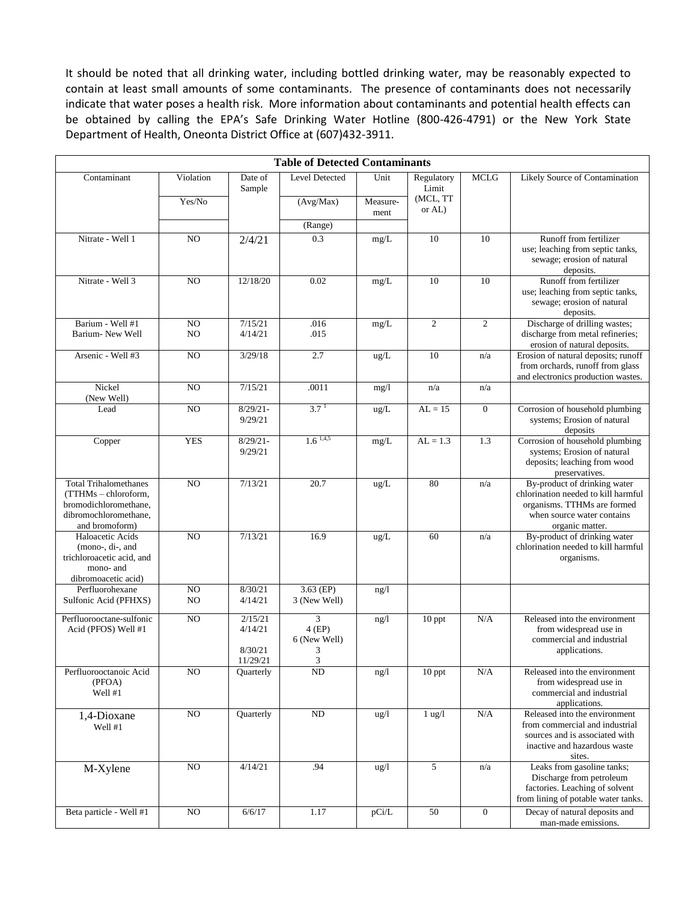It should be noted that all drinking water, including bottled drinking water, may be reasonably expected to contain at least small amounts of some contaminants. The presence of contaminants does not necessarily indicate that water poses a health risk. More information about contaminants and potential health effects can be obtained by calling the EPA's Safe Drinking Water Hotline (800-426-4791) or the New York State Department of Health, Oneonta District Office at (607)432-3911.

| <b>Table of Detected Contaminants</b>                                                                                    |                 |                                           |                                         |                  |                     |                  |                                                                                                                                                     |  |  |  |  |
|--------------------------------------------------------------------------------------------------------------------------|-----------------|-------------------------------------------|-----------------------------------------|------------------|---------------------|------------------|-----------------------------------------------------------------------------------------------------------------------------------------------------|--|--|--|--|
| Contaminant                                                                                                              | Violation       | Date of<br>Sample                         | <b>Level Detected</b>                   | Unit             | Regulatory<br>Limit | <b>MCLG</b>      | Likely Source of Contamination                                                                                                                      |  |  |  |  |
|                                                                                                                          | Yes/No          |                                           | (Avg/Max)                               | Measure-<br>ment | (MCL, TT<br>or AL)  |                  |                                                                                                                                                     |  |  |  |  |
|                                                                                                                          |                 |                                           | (Range)                                 |                  |                     |                  |                                                                                                                                                     |  |  |  |  |
| Nitrate - Well 1                                                                                                         | NO              | 2/4/21                                    | 0.3                                     | mg/L             | 10                  | 10               | Runoff from fertilizer<br>use; leaching from septic tanks,<br>sewage; erosion of natural<br>deposits.                                               |  |  |  |  |
| Nitrate - Well 3                                                                                                         | NO              | 12/18/20                                  | 0.02                                    | mg/L             | 10                  | 10               | Runoff from fertilizer<br>use; leaching from septic tanks,<br>sewage; erosion of natural<br>deposits.                                               |  |  |  |  |
| Barium - Well #1<br>Barium- New Well                                                                                     | NO<br>NO        | 7/15/21<br>4/14/21                        | .016<br>.015                            | mg/L             | $\mathfrak{2}$      | $\overline{c}$   | Discharge of drilling wastes;<br>discharge from metal refineries;<br>erosion of natural deposits.                                                   |  |  |  |  |
| Arsenic - Well #3                                                                                                        | NO              | 3/29/18                                   | 2.7                                     | ug/L             | 10                  | n/a              | Erosion of natural deposits; runoff<br>from orchards, runoff from glass<br>and electronics production wastes.                                       |  |  |  |  |
| Nickel<br>(New Well)                                                                                                     | N <sub>O</sub>  | 7/15/21                                   | .0011                                   | mg/1             | n/a                 | n/a              |                                                                                                                                                     |  |  |  |  |
| Lead                                                                                                                     | NO              | $8/29/21 -$<br>9/29/21                    | 3.7 <sup>1</sup>                        | ug/L             | $AL = 15$           | $\overline{0}$   | Corrosion of household plumbing<br>systems; Erosion of natural<br>deposits                                                                          |  |  |  |  |
| Copper                                                                                                                   | <b>YES</b>      | $8/29/21 -$<br>9/29/21                    | $1.6$ <sup>1,4,5</sup>                  | $mg/L$           | $AL = 1.3$          | 1.3              | Corrosion of household plumbing<br>systems; Erosion of natural<br>deposits; leaching from wood<br>preservatives.                                    |  |  |  |  |
| <b>Total Trihalomethanes</b><br>(TTHMs - chloroform,<br>bromodichloromethane,<br>dibromochloromethane,<br>and bromoform) | NO              | 7/13/21                                   | 20.7                                    | ug/L             | 80                  | n/a              | By-product of drinking water<br>chlorination needed to kill harmful<br>organisms. TTHMs are formed<br>when source water contains<br>organic matter. |  |  |  |  |
| Haloacetic Acids<br>$(mono-, di-, and$<br>trichloroacetic acid, and<br>mono- and<br>dibromoacetic acid)                  | NO              | 7/13/21                                   | 16.9                                    | ug/L             | 60                  | n/a              | By-product of drinking water<br>chlorination needed to kill harmful<br>organisms.                                                                   |  |  |  |  |
| Perfluorohexane<br>Sulfonic Acid (PFHXS)                                                                                 | NO<br>NO        | 8/30/21<br>4/14/21                        | $3.63$ (EP)<br>3 (New Well)             | ng/1             |                     |                  |                                                                                                                                                     |  |  |  |  |
| Perfluorooctane-sulfonic<br>Acid (PFOS) Well #1                                                                          | NO              | 2/15/21<br>4/14/21<br>8/30/21<br>11/29/21 | 3<br>$4$ (EP)<br>6 (New Well)<br>3<br>3 | ng/l             | 10 ppt              | N/A              | Released into the environment<br>from widespread use in<br>commercial and industrial<br>applications.                                               |  |  |  |  |
| Perfluorooctanoic Acid<br>(PFOA)<br>Well #1                                                                              | $_{\rm NO}$     | Quarterly                                 | $\rm ND$                                | ng/l             | 10 ppt              | $\rm N/A$        | Released into the environment<br>from widespread use in<br>commercial and industrial<br>applications.                                               |  |  |  |  |
| 1,4-Dioxane<br>Well #1                                                                                                   | NO              | Quarterly                                 | ND                                      | ug/1             | $1$ ug/ $1$         | N/A              | Released into the environment<br>from commercial and industrial<br>sources and is associated with<br>inactive and hazardous waste<br>sites.         |  |  |  |  |
| M-Xylene                                                                                                                 | $\overline{NO}$ | 4/14/21                                   | .94                                     | ug/l             | 5                   | n/a              | Leaks from gasoline tanks;<br>Discharge from petroleum<br>factories. Leaching of solvent<br>from lining of potable water tanks.                     |  |  |  |  |
| Beta particle - Well #1                                                                                                  | $\rm NO$        | 6/6/17                                    | 1.17                                    | pCi/L            | 50                  | $\boldsymbol{0}$ | Decay of natural deposits and<br>man-made emissions.                                                                                                |  |  |  |  |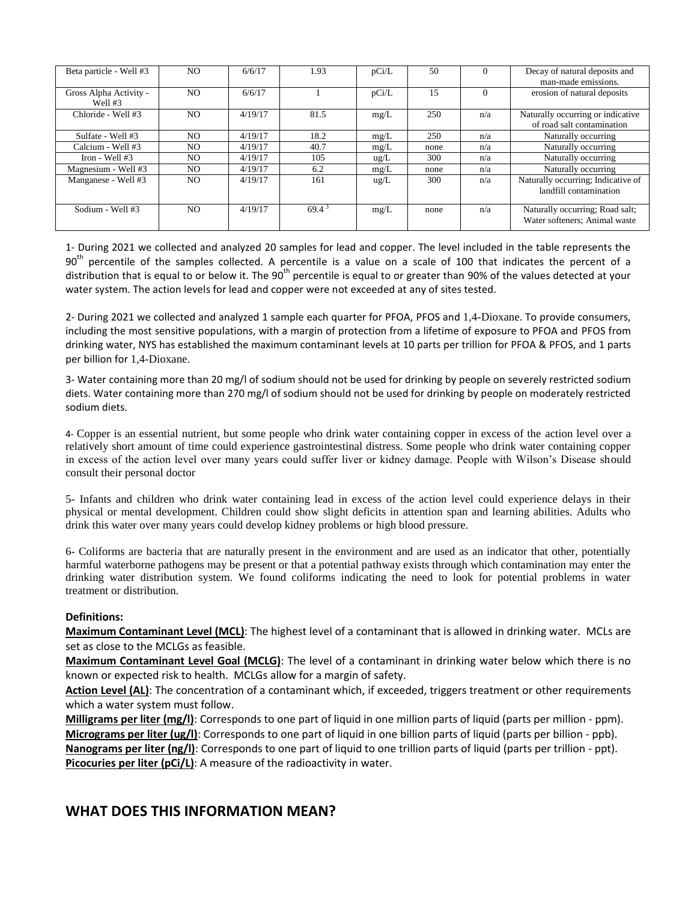| Beta particle - Well #3             | NO.            | 6/6/17  | 1.93     | pCi/L         | 50   | $\Omega$ | Decay of natural deposits and<br>man-made emissions.             |
|-------------------------------------|----------------|---------|----------|---------------|------|----------|------------------------------------------------------------------|
| Gross Alpha Activity -<br>Well $#3$ | NO.            | 6/6/17  |          | pCi/L         | 15   | $\Omega$ | erosion of natural deposits                                      |
| Chloride - Well #3                  | N <sub>O</sub> | 4/19/17 | 81.5     | mg/L          | 250  | n/a      | Naturally occurring or indicative<br>of road salt contamination  |
| Sulfate - Well #3                   | NO.            | 4/19/17 | 18.2     | mg/L          | 250  | n/a      | Naturally occurring                                              |
| Calcium - Well #3                   | NO.            | 4/19/17 | 40.7     | mg/L          | none | n/a      | Naturally occurring                                              |
| Iron - Well $#3$                    | NO.            | 4/19/17 | 105      | $\text{ug/L}$ | 300  | n/a      | Naturally occurring                                              |
| Magnesium - Well #3                 | NO.            | 4/19/17 | 6.2      | mg/L          | none | n/a      | Naturally occurring                                              |
| Manganese - Well #3                 | NO.            | 4/19/17 | 161      | $\text{ug/L}$ | 300  | n/a      | Naturally occurring; Indicative of<br>landfill contamination     |
| Sodium - Well #3                    | NO.            | 4/19/17 | $69.4^3$ | mg/L          | none | n/a      | Naturally occurring; Road salt;<br>Water softeners: Animal waste |

1- During 2021 we collected and analyzed 20 samples for lead and copper. The level included in the table represents the  $90<sup>th</sup>$  percentile of the samples collected. A percentile is a value on a scale of 100 that indicates the percent of a distribution that is equal to or below it. The 90<sup>th</sup> percentile is equal to or greater than 90% of the values detected at your water system. The action levels for lead and copper were not exceeded at any of sites tested.

2- During 2021 we collected and analyzed 1 sample each quarter for PFOA, PFOS and 1,4-Dioxane. To provide consumers, including the most sensitive populations, with a margin of protection from a lifetime of exposure to PFOA and PFOS from drinking water, NYS has established the maximum contaminant levels at 10 parts per trillion for PFOA & PFOS, and 1 parts per billion for 1,4-Dioxane.

3- Water containing more than 20 mg/l of sodium should not be used for drinking by people on severely restricted sodium diets. Water containing more than 270 mg/l of sodium should not be used for drinking by people on moderately restricted sodium diets.

4- Copper is an essential nutrient, but some people who drink water containing copper in excess of the action level over a relatively short amount of time could experience gastrointestinal distress. Some people who drink water containing copper in excess of the action level over many years could suffer liver or kidney damage. People with Wilson's Disease should consult their personal doctor

5- Infants and children who drink water containing lead in excess of the action level could experience delays in their physical or mental development. Children could show slight deficits in attention span and learning abilities. Adults who drink this water over many years could develop kidney problems or high blood pressure.

6- Coliforms are bacteria that are naturally present in the environment and are used as an indicator that other, potentially harmful waterborne pathogens may be present or that a potential pathway exists through which contamination may enter the drinking water distribution system. We found coliforms indicating the need to look for potential problems in water treatment or distribution.

#### **Definitions:**

**Maximum Contaminant Level (MCL)**: The highest level of a contaminant that is allowed in drinking water. MCLs are set as close to the MCLGs as feasible.

**Maximum Contaminant Level Goal (MCLG)**: The level of a contaminant in drinking water below which there is no known or expected risk to health. MCLGs allow for a margin of safety.

**Action Level (AL)**: The concentration of a contaminant which, if exceeded, triggers treatment or other requirements which a water system must follow.

**Milligrams per liter (mg/l)**: Corresponds to one part of liquid in one million parts of liquid (parts per million - ppm). **Micrograms per liter (ug/l)**: Corresponds to one part of liquid in one billion parts of liquid (parts per billion - ppb). **Nanograms per liter (ng/l)**: Corresponds to one part of liquid to one trillion parts of liquid (parts per trillion - ppt). **Picocuries per liter (pCi/L)**: A measure of the radioactivity in water.

## **WHAT DOES THIS INFORMATION MEAN?**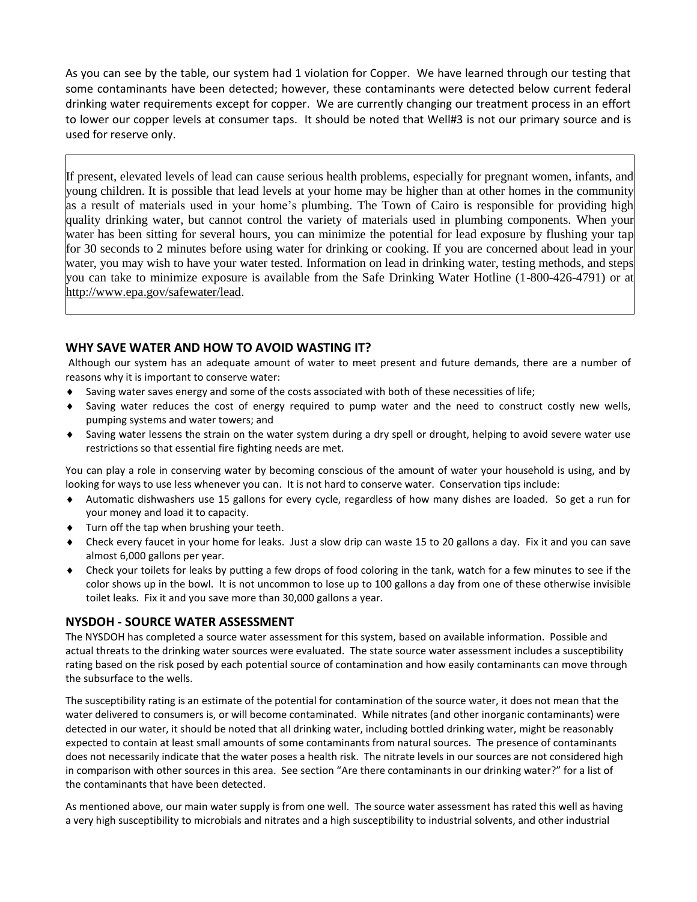As you can see by the table, our system had 1 violation for Copper. We have learned through our testing that some contaminants have been detected; however, these contaminants were detected below current federal drinking water requirements except for copper. We are currently changing our treatment process in an effort to lower our copper levels at consumer taps. It should be noted that Well#3 is not our primary source and is used for reserve only.

If present, elevated levels of lead can cause serious health problems, especially for pregnant women, infants, and young children. It is possible that lead levels at your home may be higher than at other homes in the community as a result of materials used in your home's plumbing. The Town of Cairo is responsible for providing high quality drinking water, but cannot control the variety of materials used in plumbing components. When your water has been sitting for several hours, you can minimize the potential for lead exposure by flushing your tap for 30 seconds to 2 minutes before using water for drinking or cooking. If you are concerned about lead in your water, you may wish to have your water tested. Information on lead in drinking water, testing methods, and steps you can take to minimize exposure is available from the Safe Drinking Water Hotline (1-800-426-4791) or at http://www.epa.gov/safewater/lead.

## **WHY SAVE WATER AND HOW TO AVOID WASTING IT?**

Although our system has an adequate amount of water to meet present and future demands, there are a number of reasons why it is important to conserve water:

- Saving water saves energy and some of the costs associated with both of these necessities of life;
- Saving water reduces the cost of energy required to pump water and the need to construct costly new wells, pumping systems and water towers; and
- Saving water lessens the strain on the water system during a dry spell or drought, helping to avoid severe water use restrictions so that essential fire fighting needs are met.

You can play a role in conserving water by becoming conscious of the amount of water your household is using, and by looking for ways to use less whenever you can. It is not hard to conserve water. Conservation tips include:

- Automatic dishwashers use 15 gallons for every cycle, regardless of how many dishes are loaded. So get a run for your money and load it to capacity.
- Turn off the tap when brushing your teeth.
- Check every faucet in your home for leaks. Just a slow drip can waste 15 to 20 gallons a day. Fix it and you can save almost 6,000 gallons per year.
- Check your toilets for leaks by putting a few drops of food coloring in the tank, watch for a few minutes to see if the color shows up in the bowl. It is not uncommon to lose up to 100 gallons a day from one of these otherwise invisible toilet leaks. Fix it and you save more than 30,000 gallons a year.

## **NYSDOH - SOURCE WATER ASSESSMENT**

The NYSDOH has completed a source water assessment for this system, based on available information. Possible and actual threats to the drinking water sources were evaluated. The state source water assessment includes a susceptibility rating based on the risk posed by each potential source of contamination and how easily contaminants can move through the subsurface to the wells.

The susceptibility rating is an estimate of the potential for contamination of the source water, it does not mean that the water delivered to consumers is, or will become contaminated. While nitrates (and other inorganic contaminants) were detected in our water, it should be noted that all drinking water, including bottled drinking water, might be reasonably expected to contain at least small amounts of some contaminants from natural sources. The presence of contaminants does not necessarily indicate that the water poses a health risk. The nitrate levels in our sources are not considered high in comparison with other sources in this area. See section "Are there contaminants in our drinking water?" for a list of the contaminants that have been detected.

As mentioned above, our main water supply is from one well. The source water assessment has rated this well as having a very high susceptibility to microbials and nitrates and a high susceptibility to industrial solvents, and other industrial